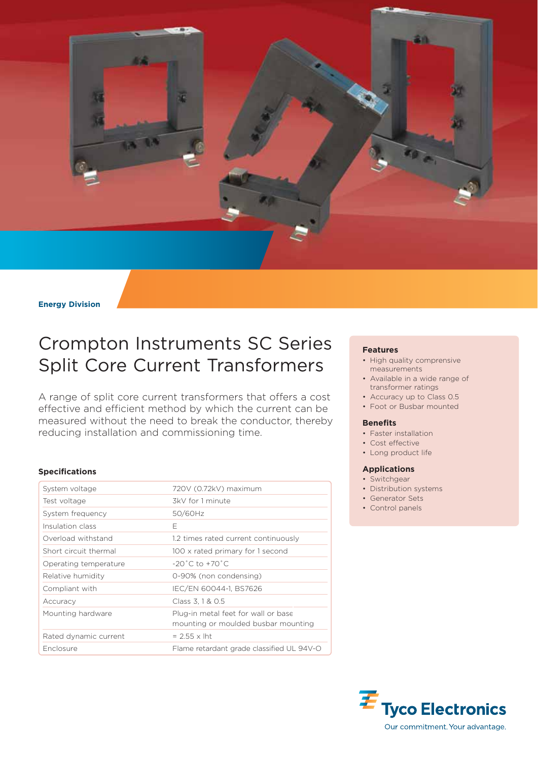

#### **Energy Division**

## Crompton Instruments SC Series Split Core Current Transformers

A range of split core current transformers that offers a cost effective and efficient method by which the current can be measured without the need to break the conductor, thereby reducing installation and commissioning time.

#### **Specifications**

| System voltage        | 720V (0.72kV) maximum                                                      |  |  |  |  |
|-----------------------|----------------------------------------------------------------------------|--|--|--|--|
| Test voltage          | 3kV for 1 minute                                                           |  |  |  |  |
| System frequency      | 50/60Hz                                                                    |  |  |  |  |
| Insulation class      | E                                                                          |  |  |  |  |
| Overload withstand    | 1.2 times rated current continuously                                       |  |  |  |  |
| Short circuit thermal | 100 x rated primary for 1 second                                           |  |  |  |  |
| Operating temperature | $-20^{\circ}$ C to $+70^{\circ}$ C                                         |  |  |  |  |
| Relative humidity     | 0-90% (non condensing)                                                     |  |  |  |  |
| Compliant with        | IEC/EN 60044-1, BS7626                                                     |  |  |  |  |
| Accuracy              | Class 3, 1 & 0.5                                                           |  |  |  |  |
| Mounting hardware     | Plug-in metal feet for wall or base<br>mounting or moulded busbar mounting |  |  |  |  |
| Rated dynamic current | $= 2.55 \times$ lht                                                        |  |  |  |  |
| Enclosure             | Flame retardant grade classified UL 94V-O                                  |  |  |  |  |

#### **Features**

- High quality comprensive measurements
- Available in a wide range of transformer ratings
- Accuracy up to Class 0.5
- Foot or Busbar mounted

#### **Benefits**

- Faster installation
- Cost effective • Long product life

#### **Applications**

- Switchgear
- Distribution systems
- Generator Sets
- Control panels

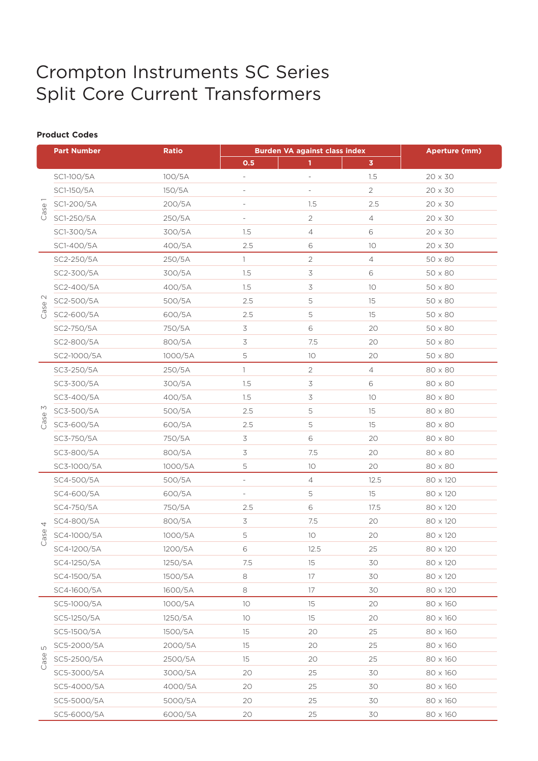# Crompton Instruments SC Series Split Core Current Transformers

### **Product Codes**

|                                                | <b>Part Number</b> | Ratio<br><b>Burden VA against class index</b> |                          |                          |                         | Aperture (mm)  |
|------------------------------------------------|--------------------|-----------------------------------------------|--------------------------|--------------------------|-------------------------|----------------|
|                                                |                    |                                               | 0.5                      | 1                        | $\overline{\mathbf{3}}$ |                |
| Case1                                          | SC1-100/5A         | 100/5A                                        | $\overline{\phantom{a}}$ | $\blacksquare$           | 1.5                     | 20 x 30        |
|                                                | SC1-150/5A         | 150/5A                                        | ÷,                       | $\overline{\phantom{a}}$ | $\overline{2}$          | 20 x 30        |
|                                                | SC1-200/5A         | 200/5A                                        |                          | 1.5                      | $2.5\,$                 | 20 x 30        |
|                                                | SC1-250/5A         | 250/5A                                        |                          | $\overline{2}$           | $\overline{4}$          | 20 x 30        |
|                                                | SC1-300/5A         | 300/5A                                        | 1.5                      | $\overline{4}$           | $\mathsf{6}$            | 20 x 30        |
|                                                | SC1-400/5A         | 400/5A                                        | 2.5                      | 6                        | 10                      | 20 x 30        |
|                                                | SC2-250/5A         | 250/5A                                        | 1                        | $\overline{2}$           | $\overline{4}$          | 50 x 80        |
|                                                | SC2-300/5A         | 300/5A                                        | 1.5                      | 3                        | 6                       | $50 \times 80$ |
|                                                | SC2-400/5A         | 400/5A                                        | 1.5                      | 3                        | 10                      | 50 x 80        |
| $\mathbf{\sim}$<br>$\mathcal{S}^{\mathcal{O}}$ | SC2-500/5A         | 500/5A                                        | 2.5                      | 5                        | 15                      | $50 \times 80$ |
| ී                                              | SC2-600/5A         | 600/5A                                        | 2.5                      | 5                        | 15                      | $50 \times 80$ |
|                                                | SC2-750/5A         | 750/5A                                        | 3                        | 6                        | 20                      | 50 x 80        |
|                                                | SC2-800/5A         | 800/5A                                        | $\mathfrak Z$            | 7.5                      | 20                      | $50 \times 80$ |
|                                                | SC2-1000/5A        | 1000/5A                                       | 5                        | 10                       | 20                      | 50 x 80        |
|                                                | SC3-250/5A         | 250/5A                                        | $\mathbb{1}$             | $\overline{2}$           | $\overline{4}$          | $80\times80$   |
|                                                | SC3-300/5A         | 300/5A                                        | 1.5                      | 3                        | 6                       | 80 x 80        |
|                                                | SC3-400/5A         | 400/5A                                        | 1.5                      | 3                        | 10                      | 80 x 80        |
| M                                              | SC3-500/5A         | 500/5A                                        | 2.5                      | 5                        | 15                      | 80 x 80        |
| Cã                                             | SC3-600/5A         | 600/5A                                        | 2.5                      | 5                        | 15                      | $80\times80$   |
|                                                | SC3-750/5A         | 750/5A                                        | 3                        | 6                        | 20                      | 80 x 80        |
|                                                | SC3-800/5A         | 800/5A                                        | 3                        | 7.5                      | 20                      | $80\times80$   |
|                                                | SC3-1000/5A        | 1000/5A                                       | 5                        | 10                       | 20                      | 80 x 80        |
|                                                | SC4-500/5A         | 500/5A                                        |                          | $\overline{4}$           | 12.5                    | 80 x 120       |
|                                                | SC4-600/5A         | 600/5A                                        | $\overline{\phantom{a}}$ | 5                        | 15                      | 80 x 120       |
|                                                | SC4-750/5A         | 750/5A                                        | 2.5                      | $\mathsf 6$              | 17.5                    | 80 x 120       |
| 4                                              | SC4-800/5A         | 800/5A                                        | 3                        | 7.5                      | 20                      | 80 x 120       |
| Case                                           | SC4-1000/5A        | 1000/5A                                       | 5                        | $10$                     | 20                      | 80 x 120       |
|                                                | SC4-1200/5A        | 1200/5A                                       | 6                        | 12.5                     | 25                      | 80 x 120       |
|                                                | SC4-1250/5A        | 1250/5A                                       | 7.5                      | 15                       | 30                      | 80 x 120       |
|                                                | SC4-1500/5A        | 1500/5A                                       | 8                        | 17                       | 30                      | 80 x 120       |
|                                                | SC4-1600/5A        | 1600/5A                                       | 8                        | 17                       | 30                      | 80 x 120       |
|                                                | SC5-1000/5A        | 1000/5A                                       | 10                       | 15                       | 20                      | 80 x 160       |
|                                                | SC5-1250/5A        | 1250/5A                                       | 10                       | 15                       | 20                      | 80 x 160       |
|                                                | SC5-1500/5A        | 1500/5A                                       | 15                       | 20                       | 25                      | 80 x 160       |
| S                                              | SC5-2000/5A        | 2000/5A                                       | 15                       | 20                       | 25                      | 80 x 160       |
| Case                                           | SC5-2500/5A        | 2500/5A                                       | 15                       | 20                       | 25                      | 80 x 160       |
|                                                | SC5-3000/5A        | 3000/5A                                       | 20                       | 25                       | 30                      | 80 x 160       |
|                                                | SC5-4000/5A        | 4000/5A                                       | 20                       | 25                       | 30                      | 80 x 160       |
|                                                | SC5-5000/5A        | 5000/5A                                       | 20                       | 25                       | 30                      | 80 x 160       |
|                                                | SC5-6000/5A        | 6000/5A                                       | $20\,$                   | $25\,$                   | 30                      | 80 x 160       |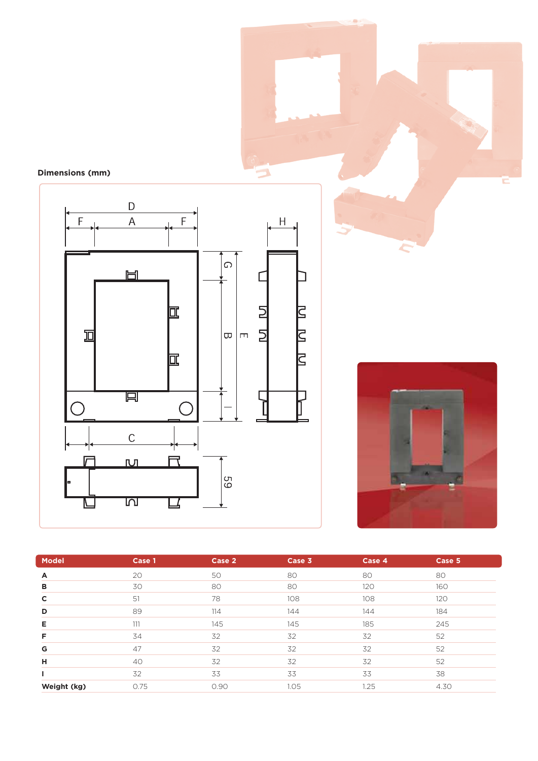





с

| <b>Model</b> | Case 1 | Case 2 | Case 3 | Case 4 | Case 5 |  |
|--------------|--------|--------|--------|--------|--------|--|
| A            | 20     | 50     | 80     | 80     | 80     |  |
| в            | 30     | 80     | 80     | 120    | 160    |  |
| $\mathsf{C}$ | 51     | 78     | 108    | 108    | 120    |  |
| D            | 89     | 114    | 144    | 144    | 184    |  |
| Е            | 111    | 145    | 145    | 185    | 245    |  |
| F            | 34     | 32     | 32     | 32     | 52     |  |
| G            | 47     | 32     | 32     | 32     | 52     |  |
| н            | 40     | 32     | 32     | 32     | 52     |  |
|              | 32     | 33     | 33     | 33     | 38     |  |
| Weight (kg)  | 0.75   | 0.90   | 1.05   | 1.25   | 4.30   |  |

 $\overline{\phantom{a}}$